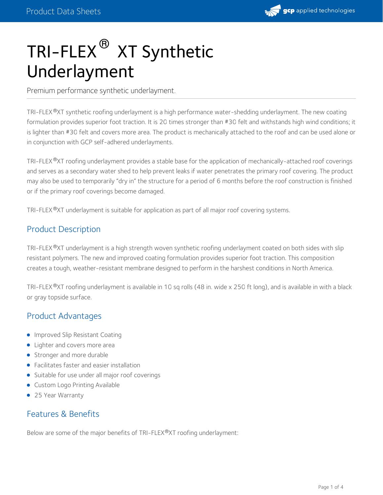

# TRI-FLEX  $^\circledR$  XT Synthetic Underlayment

Premium performance synthetic underlayment.

TRI-FLEX®XT synthetic roofing underlayment is a high performance water-shedding underlayment. The new coating formulation provides superior foot traction. It is 20 times stronger than #30 felt and withstands high wind conditions; it is lighter than #30 felt and covers more area. The product is mechanically attached to the roof and can be used alone or in conjunction with GCP self-adhered underlayments.

TRI-FLEX®XT roofing underlayment provides a stable base for the application of mechanically-attached roof coverings and serves as a secondary water shed to help prevent leaks if water penetrates the primary roof covering. The product may also be used to temporarily "dry in" the structure for a period of 6 months before the roof construction is finished or if the primary roof coverings become damaged.

TRI-FLEX®XT underlayment is suitable for application as part of all major roof covering systems.

### Product Description

TRI-FLEX®XT underlayment is a high strength woven synthetic roofing underlayment coated on both sides with slip resistant polymers. The new and improved coating formulation provides superior foot traction. This composition creates a tough, weather-resistant membrane designed to perform in the harshest conditions in North America.

TRI-FLEX®XT roofing underlayment is available in 10 sq rolls (48 in. wide x 250 ft long), and is available in with a black or gray topside surface.

# Product Advantages

- **Improved Slip Resistant Coating**
- Lighter and covers more area
- Stronger and more durable
- Facilitates faster and easier installation
- Suitable for use under all major roof coverings
- **Custom Logo Printing Available**
- 25 Year Warranty

#### Features & Benefits

Below are some of the major benefits of TRI-FLEX®XT roofing underlayment: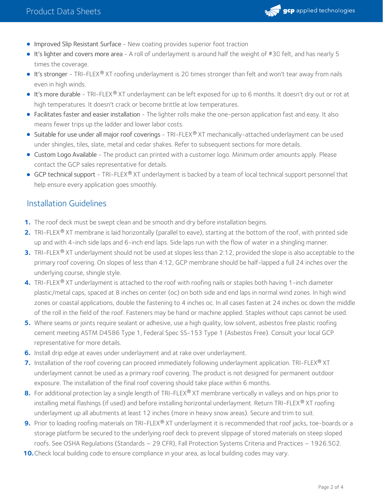

- **Improved Slip Resistant Surface** New coating provides superior foot traction
- It's lighter and covers more area A rollof underlayment is around half the weight of #30 felt, and has nearly 5 times the coverage.
- **It's stronger** TRI-FLEX® XT roofing underlayment is 20 times stronger than felt and won't tear away from nails even in high winds.
- It's more durable TRI-FLEX® XT underlayment can be left exposed for up to 6 months. It doesn't dry out or rot at high temperatures. It doesn't crack or become brittle at low temperatures.
- Facilitates faster and easier installation The lighter rolls make the one-person application fast and easy. It also means fewer trips up the ladder and lower labor costs.
- Suitable for use under all major roof coverings TRI-FLEX® XT mechanically-attached underlayment can be used under shingles, tiles, slate, metal and cedar shakes. Refer to subsequent sections for more details.
- Custom Logo Available The product can printed with a customer logo. Minimum order amounts apply. Please contact the GCP sales representative for details.
- GCP technical support TRI-FLEX® XT underlayment is backed by a team of local technical support personnel that help ensure every application goes smoothly.

### Installation Guidelines

- **1.** The roof deck must be swept clean and be smooth and dry before installation begins.
- 2. TRI-FLEX<sup>®</sup> XT membrane is laid horizontally (parallel to eave), starting at the bottom of the roof, with printed side up and with 4-inch side laps and 6-inch end laps. Side laps run with the flow of water in a shingling manner.
- **3.** TRI-FLEX® XT underlayment should not be used at slopes less than 2:12, provided the slope is also acceptable to the primary roof covering. On slopes of less than 4:12, GCP membrane should be half-lapped a full 24 inches over the underlying course, shingle style.
- **4.** TRI-FLEX®XT underlayment is attached to the roof with roofing nails or staples both having 1-inch diameter plastic/metal caps, spaced at 8 inches on center (oc) on both side and end laps in normal wind zones. In high wind zones or coastal applications, double the fastening to 4 inches oc. In all cases fasten at 24 inches oc down the middle of the roll in the field of the roof. Fasteners may be hand or machine applied. Staples without caps cannot be used.
- Where seams or joints require sealant or adhesive, use a high quality, low solvent, asbestos free plastic roofing **5.** cement meeting ASTM D4586 Type 1, Federal Spec SS-153 Type 1 (Asbestos Free). Consult your local GCP representative for more details.
- **6.** Install drip edge at eaves under underlayment and at rake over underlayment.
- **7.** Installation of the roof covering can proceed immediately following underlayment application. TRI-FLEX® XT underlayment cannot be used as a primary roof covering. The product is not designed for permanent outdoor exposure. The installation of the final roof covering should take place within 6 months.
- **8.** For additional protection lay a single length of TRI-FLEX® XT membrane vertically in valleys and on hips prior to installing metal flashings (if used) and before installing horizontal underlayment. Return TRI-FLEX® XT roofing underlayment up all abutments at least 12 inches (more in heavy snow areas). Secure and trim to suit.
- **9.** Prior to loading roofing materials on TRI-FLEX® XT underlayment it is recommended that roof jacks, toe-boards or a storage platform be secured to the underlying roof deck to prevent slippage of stored materials on steep sloped roofs. See OSHA Regulations (Standards – 29 CFR), Fall Protection Systems Criteria and Practices – 1926.502.
- **10.** Check local building code to ensure compliance in your area, as local building codes may vary.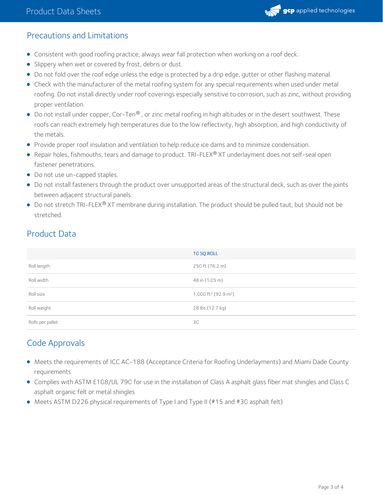

### Precautions and Limitations

- Consistent with good roofing practice, always wear fall protection when working on a roof deck.
- **Slippery when wet or covered by frost, debris or dust.**
- Do not fold over the roof edge unless the edge is protected by a drip edge, gutter or other flashing material.
- Check with the manufacturer of the metal roofing system for any special requirements when used under metal roofing. Do not install directly under roof coverings especially sensitive to corrosion, such as zinc, without providing proper ventilation.
- Do not install under copper, Cor-Ten® , or zinc metal roofing in high altitudes or in the desert southwest. These roofs can reach extremely high temperatures due to the low reflectivity, high absorption, and high conductivity of the metals.
- **Provide proper roof insulation and ventilation to help reduce ice dams and to minimize condensation.**
- Repair holes, fishmouths, tears and damage to product. TRI-FLEX® XT underlayment does not self-seal open fastener penetrations.
- Do not use un-capped staples.
- Do not install fasteners through the product over unsupported areas of the structural deck, such as over the joints between adjacent structural panels.
- Do not stretch TRI-FLEX® XT membrane during installation. The product should be pulled taut, but should not be stretched.

# Product Data

|                  | 10 SQ ROLL                                   |
|------------------|----------------------------------------------|
| Roll length      | 250 ft (76.2 m)                              |
| Roll width       | 48 in (1.05 m)                               |
| Roll size        | 1,000 ft <sup>2</sup> (92.9 m <sup>2</sup> ) |
| Roll weight      | 28 lbs (12.7 kg)                             |
| Rolls per pallet | 30                                           |

# Code Approvals

- Meets the requirements of ICC AC-188 (Acceptance Criteria for Roofing Underlayments) and Miami Dade County requirements
- Complies with ASTM E108/UL 790 for use in the installation of Class A asphalt glass fiber mat shingles and Class C asphalt organic felt or metal shingles
- Meets ASTM D226 physical requirements of Type I and Type II (#15 and #30 asphalt felt)